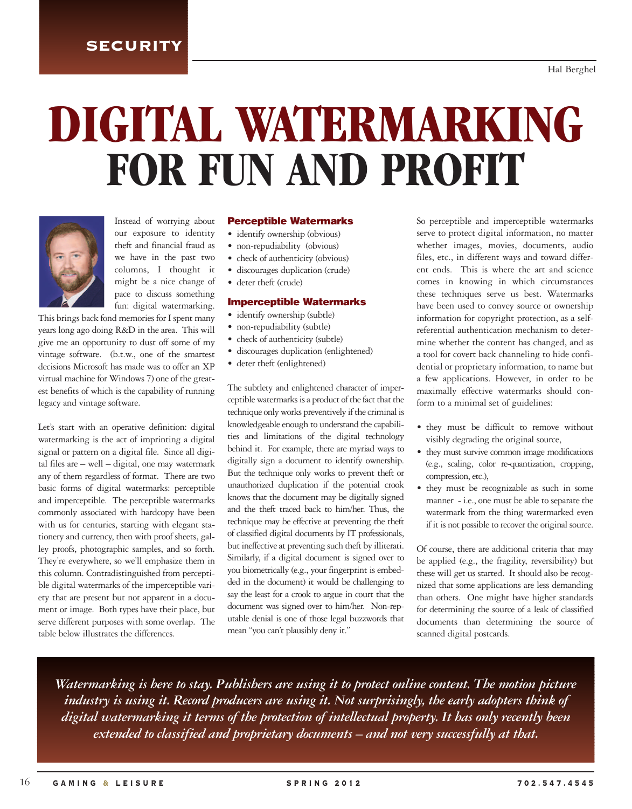### **SECURITY**

# **DIGITAL WATERMARKING FOR FUN AND PROFIT**



Instead of worrying about our exposure to identity theft and financial fraud as we have in the past two columns, I thought it might be a nice change of pace to discuss something fun: digital watermarking.

This brings back fond memories for I spent many years long ago doing R&D in the area. This will give me an opportunity to dust off some of my vintage software. (b.t.w., one of the smartest decisions Microsoft has made was to offer an XP virtual machine for Windows 7) one of the greatest benefits of which is the capability of running legacy and vintage software.

Let's start with an operative definition: digital watermarking is the act of imprinting a digital signal or pattern on a digital file. Since all digital files are – well – digital, one may watermark any of them regardless of format. There are two basic forms of digital watermarks: perceptible and imperceptible. The perceptible watermarks commonly associated with hardcopy have been with us for centuries, starting with elegant stationery and currency, then with proof sheets, galley proofs, photographic samples, and so forth. They're everywhere, so we'll emphasize them in this column. Contradistinguished from perceptible digital watermarks of the imperceptible variety that are present but not apparent in a document or image. Both types have their place, but serve different purposes with some overlap. The table below illustrates the differences.

#### **Perceptible Watermarks**

- identify ownership (obvious)
- non-repudiability (obvious)
- check of authenticity (obvious)
- discourages duplication (crude)
- deter theft (crude)

#### **Imperceptible Watermarks**

- identify ownership (subtle)
- non-repudiability (subtle)
- check of authenticity (subtle)
- discourages duplication (enlightened)
- deter theft (enlightened)

The subtlety and enlightened character of imperceptible watermarks is a product of the fact that the technique only works preventively if the criminal is knowledgeable enough to understand the capabilities and limitations of the digital technology behind it. For example, there are myriad ways to digitally sign a document to identify ownership. But the technique only works to prevent theft or unauthorized duplication if the potential crook knows that the document may be digitally signed and the theft traced back to him/her. Thus, the technique may be effective at preventing the theft of classified digital documents by IT professionals, but ineffective at preventing such theft by illiterati. Similarly, if a digital document is signed over to you biometrically (e.g., your fingerprint is embedded in the document) it would be challenging to say the least for a crook to argue in court that the document was signed over to him/her. Non-reputable denial is one of those legal buzzwords that mean "you can't plausibly deny it."

So perceptible and imperceptible watermarks serve to protect digital information, no matter whether images, movies, documents, audio files, etc., in different ways and toward different ends. This is where the art and science comes in knowing in which circumstances these techniques serve us best. Watermarks have been used to convey source or ownership information for copyright protection, as a selfreferential authentication mechanism to determine whether the content has changed, and as a tool for covert back channeling to hide confidential or proprietary information, to name but a few applications. However, in order to be maximally effective watermarks should conform to a minimal set of guidelines:

- they must be difficult to remove without visibly degrading the original source,
- they must survive common image modifications (e.g., scaling, color re-quantization, cropping, compression, etc.),
- they must be recognizable as such in some manner - i.e., one must be able to separate the watermark from the thing watermarked even if it is not possible to recover the original source.

Of course, there are additional criteria that may be applied (e.g., the fragility, reversibility) but these will get us started. It should also be recognized that some applications are less demanding than others. One might have higher standards for determining the source of a leak of classified documents than determining the source of scanned digital postcards.

*Watermarking is here to stay. Publishers are using it to protect online content. The motion picture industry is using it. Record producers are using it. Not surprisingly, the early adopters think of digital watermarking it terms of the protection of intellectual property. It has only recently been extended to classified and proprietary documents – and not very successfully at that.*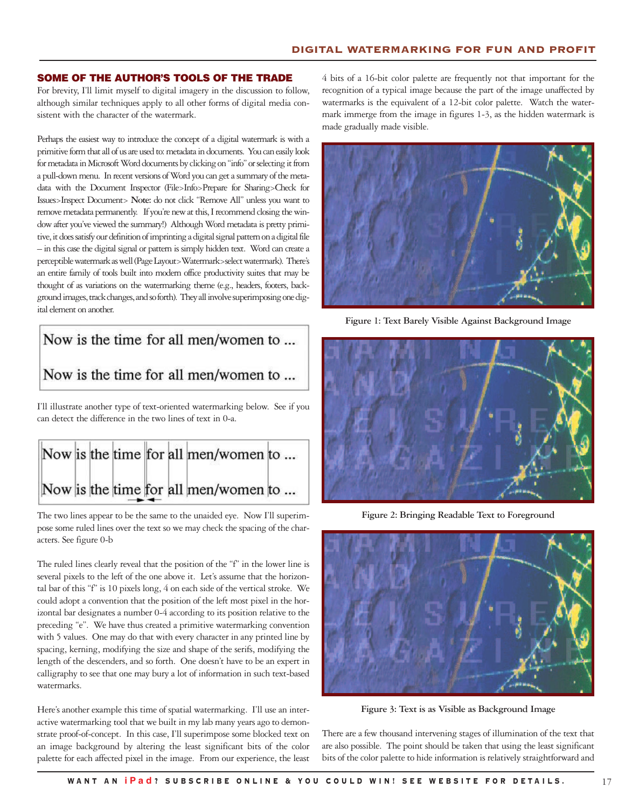#### **SOME OF THE AUTHOR'S TOOLS OF THE TRADE**

For brevity, I'll limit myself to digital imagery in the discussion to follow, although similar techniques apply to all other forms of digital media consistent with the character of the watermark.

Perhaps the easiest way to introduce the concept of a digital watermark is with a primitive form that all of us are used to: metadata in documents. You can easily look for metadata in Microsoft Word documents by clicking on "info" or selecting it from a pull-down menu. In recent versions of Word you can get a summary of the metadata with the Document Inspector (File>Info>Prepare for Sharing>Check for Issues>Inspect Document> **Note:** do not click "Remove All" unless you want to remove metadata permanently. If you're new at this, I recommend closing the window after you've viewed the summary!) Although Word metadata is pretty primitive, it does satisfy our definition of imprinting a digital signal pattern on a digital file – in this case the digital signal or pattern is simply hidden text. Word can create a perceptible watermark as well (Page Layout>Watermark>select watermark). There's an entire family of tools built into modern office productivity suites that may be thought of as variations on the watermarking theme (e.g., headers, footers, background images, track changes, and so forth). They all involve superimposing one digital element on another.

# Now is the time for all men/women to ... Now is the time for all men/women to ...

I'll illustrate another type of text-oriented watermarking below. See if you can detect the difference in the two lines of text in 0-a.



The two lines appear to be the same to the unaided eye. Now I'll superimpose some ruled lines over the text so we may check the spacing of the characters. See figure 0-b

The ruled lines clearly reveal that the position of the "f" in the lower line is several pixels to the left of the one above it. Let's assume that the horizontal bar of this "f" is 10 pixels long, 4 on each side of the vertical stroke. We could adopt a convention that the position of the left most pixel in the horizontal bar designates a number 0-4 according to its position relative to the preceding "e". We have thus created a primitive watermarking convention with 5 values. One may do that with every character in any printed line by spacing, kerning, modifying the size and shape of the serifs, modifying the length of the descenders, and so forth. One doesn't have to be an expert in calligraphy to see that one may bury a lot of information in such text-based watermarks.

Here's another example this time of spatial watermarking. I'll use an interactive watermarking tool that we built in my lab many years ago to demonstrate proof-of-concept. In this case, I'll superimpose some blocked text on an image background by altering the least significant bits of the color palette for each affected pixel in the image. From our experience, the least

4 bits of a 16-bit color palette are frequently not that important for the recognition of a typical image because the part of the image unaffected by watermarks is the equivalent of a 12-bit color palette. Watch the watermark immerge from the image in figures 1-3, as the hidden watermark is made gradually made visible.



**Figure 1: Text Barely Visible Against Background Image**



**Figure 2: Bringing Readable Text to Foreground**



**Figure 3: Text is as Visible as Background Image**

There are a few thousand intervening stages of illumination of the text that are also possible. The point should be taken that using the least significant bits of the color palette to hide information is relatively straightforward and